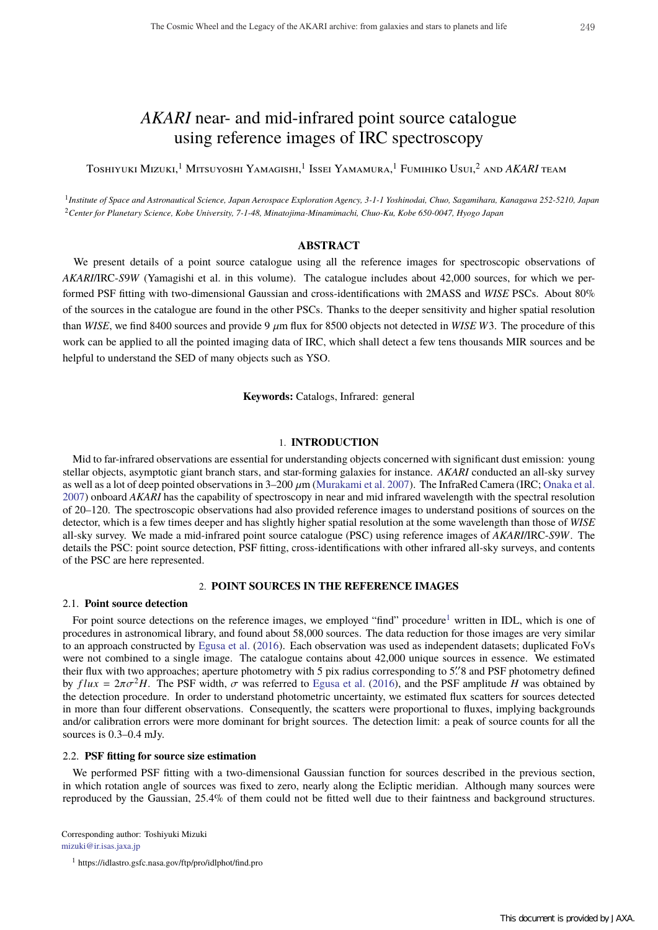# *AKARI* near- and mid-infrared point source catalogue using reference images of IRC spectroscopy

Toshiyuki Mizuki,<sup>1</sup> Mitsuyoshi Yamagishi,1 Issei Yamamura,1 Fumihiko Usui,<sup>2</sup> and *AKARI* team

<sup>1</sup>*Institute of Space and Astronautical Science, Japan Aerospace Exploration Agency, 3-1-1 Yoshinodai, Chuo, Sagamihara, Kanagawa 252-5210, Japan* <sup>2</sup>*Center for Planetary Science, Kobe University, 7-1-48, Minatojima-Minamimachi, Chuo-Ku, Kobe 650-0047, Hyogo Japan*

# **ABSTRACT**

We present details of a point source catalogue using all the reference images for spectroscopic observations of *AKARI*/IRC-*S*9*W* (Yamagishi et al. in this volume). The catalogue includes about 42,000 sources, for which we performed PSF fitting with two-dimensional Gaussian and cross-identifications with 2MASS and *WISE* PSCs. About 80% of the sources in the catalogue are found in the other PSCs. Thanks to the deeper sensitivity and higher spatial resolution than *WISE*, we find 8400 sources and provide 9 µm flux for 8500 objects not detected in *WISE W*3. The procedure of this work can be applied to all the pointed imaging data of IRC, which shall detect a few tens thousands MIR sources and be helpful to understand the SED of many objects such as YSO.

**Keywords:** Catalogs, Infrared: general

# 1. **INTRODUCTION**

Mid to far-infrared observations are essential for understanding objects concerned with significant dust emission: young stellar objects, asymptotic giant branch stars, and star-forming galaxies for instance. *AKARI* conducted an all-sky survey as well as a lot of deep pointed observations in 3–200  $\mu$ m (Murakami et al. 2007). The InfraRed Camera (IRC; Onaka et al. 2007) onboard *AKARI* has the capability of spectroscopy in near and mid infrared wavelength with the spectral resolution of 20–120. The spectroscopic observations had also provided reference images to understand positions of sources on the detector, which is a few times deeper and has slightly higher spatial resolution at the some wavelength than those of *WISE* all-sky survey. We made a mid-infrared point source catalogue (PSC) using reference images of *AKARI*/IRC-*S*9*W*. The details the PSC: point source detection, PSF fitting, cross-identifications with other infrared all-sky surveys, and contents of the PSC are here represented.

# 2. **POINT SOURCES IN THE REFERENCE IMAGES**

#### 2.1. **Point source detection**

For point source detections on the reference images, we employed "find" procedure<sup>1</sup> written in IDL, which is one of procedures in astronomical library, and found about 58,000 sources. The data reduction for those images are very similar to an approach constructed by Egusa et al. (2016). Each observation was used as independent datasets; duplicated FoVs were not combined to a single image. The catalogue contains about 42,000 unique sources in essence. We estimated their flux with two approaches; aperture photometry with 5 pix radius corresponding to 5. and PSF photometry defined by  $flux = 2\pi\sigma^2H$ . The PSF width,  $\sigma$  was referred to Egusa et al. (2016), and the PSF amplitude *H* was obtained by the detection procedure. In order to understand photometric uncertainty, we estimated flux scatters for sources detected in more than four different observations. Consequently, the scatters were proportional to fluxes, implying backgrounds and/or calibration errors were more dominant for bright sources. The detection limit: a peak of source counts for all the sources is 0.3–0.4 mJy.

### 2.2. **PSF fitting for source size estimation**

We performed PSF fitting with a two-dimensional Gaussian function for sources described in the previous section, in which rotation angle of sources was fixed to zero, nearly along the Ecliptic meridian. Although many sources were reproduced by the Gaussian, 25.4% of them could not be fitted well due to their faintness and background structures.

Corresponding author: Toshiyuki Mizuki mizuki@ir.isas.jaxa.jp

<sup>1</sup> https://idlastro.gsfc.nasa.gov/ftp/pro/idlphot/find.pro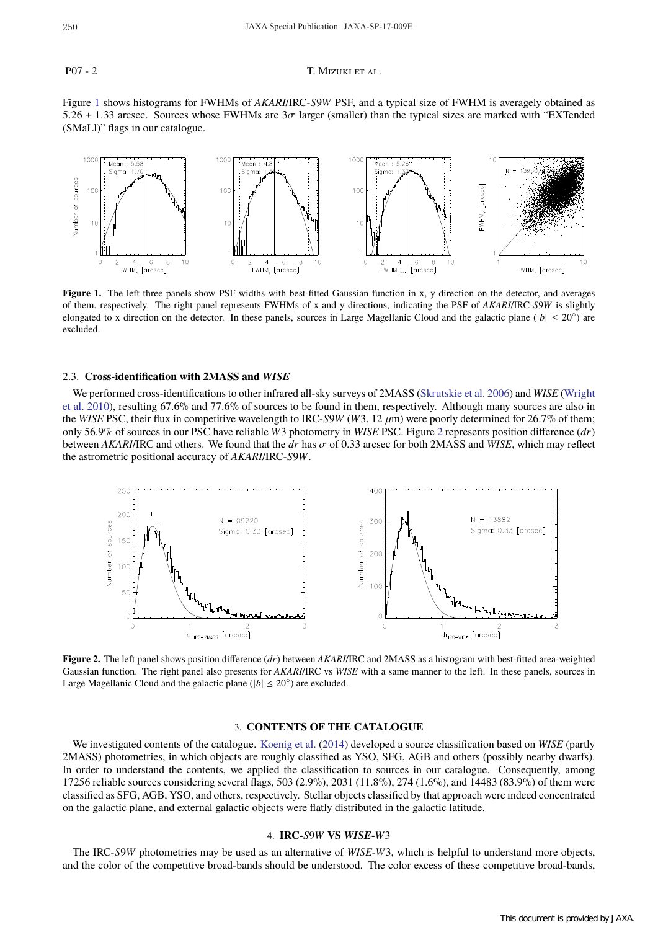### P07 - 2 T. MIZUKI ET AL.

Figure 1 shows histograms for FWHMs of *AKARI*/IRC-*S*9*W* PSF, and a typical size of FWHM is averagely obtained as 5.26  $\pm$  1.33 arcsec. Sources whose FWHMs are  $3\sigma$  larger (smaller) than the typical sizes are marked with "EXTended" (SMaLl)" flags in our catalogue.



Figure 1. The left three panels show PSF widths with best-fitted Gaussian function in x, y direction on the detector, and averages of them, respectively. The right panel represents FWHMs of x and y directions, indicating the PSF of *AKARI*/IRC-*S*9*W* is slightly elongated to x direction on the detector. In these panels, sources in Large Magellanic Cloud and the galactic plane ( $|b| \leq 20°$ ) are excluded.

#### 2.3. **Cross-identification with 2MASS and** *WISE*

We performed cross-identifications to other infrared all-sky surveys of 2MASS (Skrutskie et al. 2006) and *WISE* (Wright et al. 2010), resulting 67.6% and 77.6% of sources to be found in them, respectively. Although many sources are also in the *WISE* PSC, their flux in competitive wavelength to IRC-*S*9*W* (*W*3, 12  $\mu$ m) were poorly determined for 26.7% of them; only 56.9% of sources in our PSC have reliable *W*3 photometry in *WISE* PSC. Figure 2 represents position difference (*dr*) between *AKARI*/IRC and others. We found that the *dr* has σ of 0.33 arcsec for both 2MASS and *WISE*, which may reflect the astrometric positional accuracy of *AKARI*/IRC-*S*9*W*.



**Figure 2.** The left panel shows position difference (*dr*) between *AKARI*/IRC and 2MASS as a histogram with best-fitted area-weighted Gaussian function. The right panel also presents for *AKARI*/IRC vs *WISE* with a same manner to the left. In these panels, sources in Large Magellanic Cloud and the galactic plane ( $|b| \leq 20^\circ$ ) are excluded.

#### 3. **CONTENTS OF THE CATALOGUE**

We investigated contents of the catalogue. Koenig et al. (2014) developed a source classification based on *WISE* (partly 2MASS) photometries, in which objects are roughly classified as YSO, SFG, AGB and others (possibly nearby dwarfs). In order to understand the contents, we applied the classification to sources in our catalogue. Consequently, among 17256 reliable sources considering several flags, 503 (2.9%), 2031 (11.8%), 274 (1.6%), and 14483 (83.9%) of them were classified as SFG, AGB, YSO, and others, respectively. Stellar objects classified by that approach were indeed concentrated on the galactic plane, and external galactic objects were flatly distributed in the galactic latitude.

# 4. **IRC-***S*9*W* **VS** *WISE***-***W*3

The IRC-*S*9*W* photometries may be used as an alternative of *WISE*-*W*3, which is helpful to understand more objects, and the color of the competitive broad-bands should be understood. The color excess of these competitive broad-bands,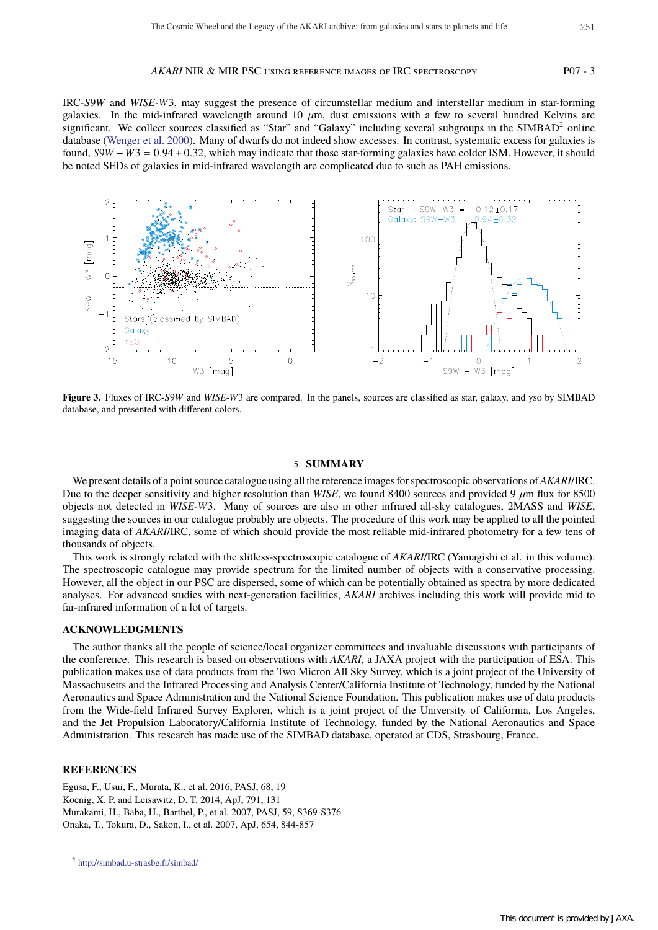#### *AKARI* NIR & MIR PSC using reference images of IRC spectroscopy P07 - 3

IRC-*S*9*W* and *WISE*-*W*3, may suggest the presence of circumstellar medium and interstellar medium in star-forming galaxies. In the mid-infrared wavelength around 10  $\mu$ m, dust emissions with a few to several hundred Kelvins are significant. We collect sources classified as "Star" and "Galaxy" including several subgroups in the SIMBAD<sup>2</sup> online database (Wenger et al. 2000). Many of dwarfs do not indeed show excesses. In contrast, systematic excess for galaxies is found,  $S9W - W3 = 0.94 \pm 0.32$ , which may indicate that those star-forming galaxies have colder ISM. However, it should be noted SEDs of galaxies in mid-infrared wavelength are complicated due to such as PAH emissions.



**Figure 3.** Fluxes of IRC-*S*9*W* and *WISE*-*W*3 are compared. In the panels, sources are classified as star, galaxy, and yso by SIMBAD database, and presented with different colors.

#### 5. **SUMMARY**

We present details of a point source catalogue using all the reference images for spectroscopic observations of*AKARI*/IRC. Due to the deeper sensitivity and higher resolution than *WISE*, we found 8400 sources and provided 9  $\mu$ m flux for 8500 objects not detected in *WISE*-*W*3. Many of sources are also in other infrared all-sky catalogues, 2MASS and *WISE*, suggesting the sources in our catalogue probably are objects. The procedure of this work may be applied to all the pointed imaging data of *AKARI*/IRC, some of which should provide the most reliable mid-infrared photometry for a few tens of thousands of objects.

This work is strongly related with the slitless-spectroscopic catalogue of *AKARI*/IRC (Yamagishi et al. in this volume). The spectroscopic catalogue may provide spectrum for the limited number of objects with a conservative processing. However, all the object in our PSC are dispersed, some of which can be potentially obtained as spectra by more dedicated analyses. For advanced studies with next-generation facilities, *AKARI* archives including this work will provide mid to far-infrared information of a lot of targets.

#### **ACKNOWLEDGMENTS**

The author thanks all the people of science/local organizer committees and invaluable discussions with participants of the conference. This research is based on observations with *AKARI*, a JAXA project with the participation of ESA. This publication makes use of data products from the Two Micron All Sky Survey, which is a joint project of the University of Massachusetts and the Infrared Processing and Analysis Center/California Institute of Technology, funded by the National Aeronautics and Space Administration and the National Science Foundation. This publication makes use of data products from the Wide-field Infrared Survey Explorer, which is a joint project of the University of California, Los Angeles, and the Jet Propulsion Laboratory/California Institute of Technology, funded by the National Aeronautics and Space Administration. This research has made use of the SIMBAD database, operated at CDS, Strasbourg, France.

#### **REFERENCES**

Egusa, F., Usui, F., Murata, K., et al. 2016, PASJ, 68, 19 Koenig, X. P. and Leisawitz, D. T. 2014, ApJ, 791, 131 Murakami, H., Baba, H., Barthel, P., et al. 2007, PASJ, 59, S369-S376 Onaka, T., Tokura, D., Sakon, I., et al. 2007, ApJ, 654, 844-857

<sup>2</sup> http://simbad.u-strasbg.fr/simbad/